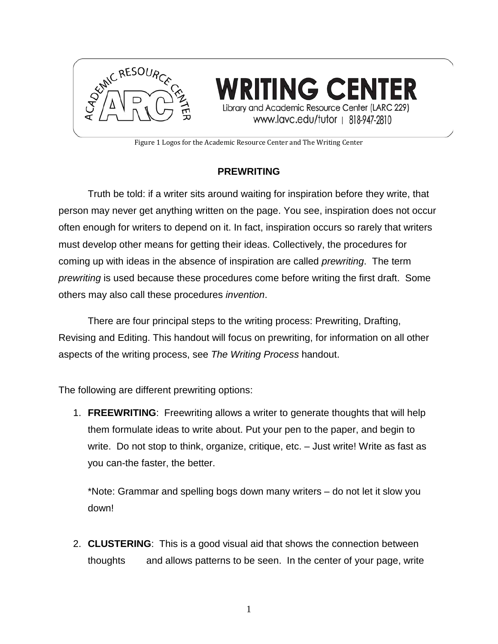

Figure 1 Logos for the Academic Resource Center and The Writing Center

### **PREWRITING**

Truth be told: if a writer sits around waiting for inspiration before they write, that person may never get anything written on the page. You see, inspiration does not occur often enough for writers to depend on it. In fact, inspiration occurs so rarely that writers must develop other means for getting their ideas. Collectively, the procedures for coming up with ideas in the absence of inspiration are called *prewriting*. The term *prewriting* is used because these procedures come before writing the first draft. Some others may also call these procedures *invention*.

There are four principal steps to the writing process: Prewriting, Drafting, Revising and Editing. This handout will focus on prewriting, for information on all other aspects of the writing process, see *The Writing Process* handout.

The following are different prewriting options:

1. **FREEWRITING**: Freewriting allows a writer to generate thoughts that will help them formulate ideas to write about. Put your pen to the paper, and begin to write. Do not stop to think, organize, critique, etc. – Just write! Write as fast as you can-the faster, the better.

\*Note: Grammar and spelling bogs down many writers – do not let it slow you down!

2. **CLUSTERING**: This is a good visual aid that shows the connection between thoughts and allows patterns to be seen. In the center of your page, write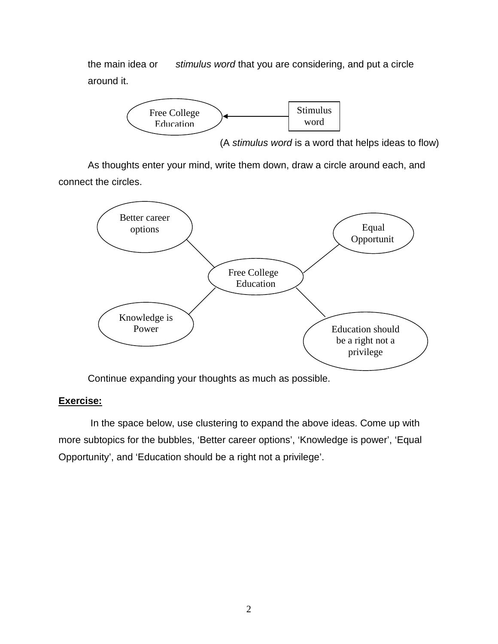the main idea or *stimulus word* that you are considering, and put a circle around it.



(A *stimulus word* is a word that helps ideas to flow)

As thoughts enter your mind, write them down, draw a circle around each, and connect the circles.



Continue expanding your thoughts as much as possible.

#### **Exercise:**

In the space below, use clustering to expand the above ideas. Come up with more subtopics for the bubbles, 'Better career options', 'Knowledge is power', 'Equal Opportunity', and 'Education should be a right not a privilege'.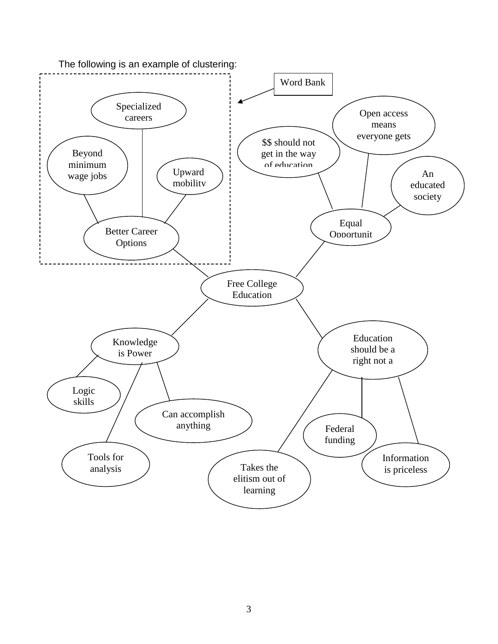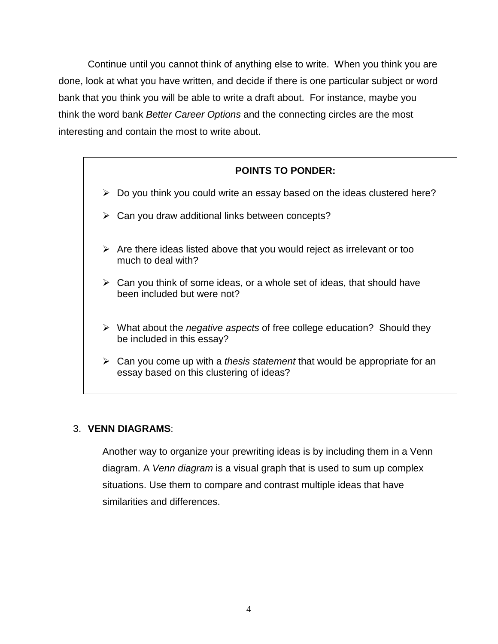Continue until you cannot think of anything else to write. When you think you are done, look at what you have written, and decide if there is one particular subject or word bank that you think you will be able to write a draft about. For instance, maybe you think the word bank *Better Career Options* and the connecting circles are the most interesting and contain the most to write about.

# **POINTS TO PONDER:**

- $\triangleright$  Do you think you could write an essay based on the ideas clustered here?
- $\triangleright$  Can you draw additional links between concepts?
- $\triangleright$  Are there ideas listed above that you would reject as irrelevant or too much to deal with?
- $\triangleright$  Can you think of some ideas, or a whole set of ideas, that should have been included but were not?
- What about the *negative aspects* of free college education? Should they be included in this essay?
- Can you come up with a *thesis statement* that would be appropriate for an essay based on this clustering of ideas?

### 3. **VENN DIAGRAMS**:

Another way to organize your prewriting ideas is by including them in a Venn diagram. A *Venn diagram* is a visual graph that is used to sum up complex situations. Use them to compare and contrast multiple ideas that have similarities and differences.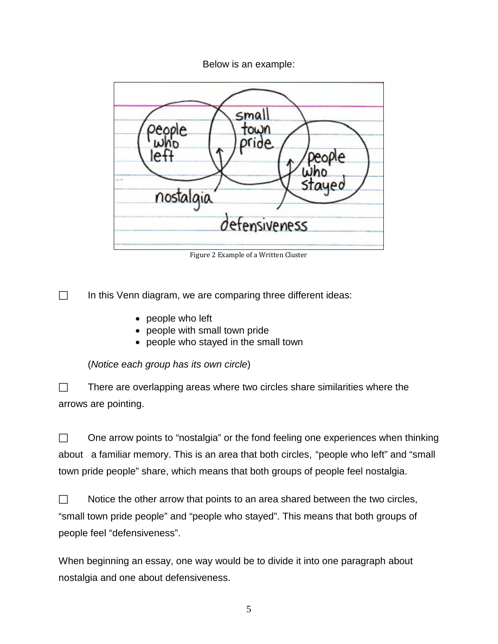Below is an example:



Figure 2 Example of a Written Cluster

 $\Box$  In this Venn diagram, we are comparing three different ideas:

- people who left
- people with small town pride
- people who stayed in the small town

(*Notice each group has its own circle*)

 $\Box$  There are overlapping areas where two circles share similarities where the arrows are pointing.

 $\Box$  One arrow points to "nostalgia" or the fond feeling one experiences when thinking about a familiar memory. This is an area that both circles, "people who left" and "small town pride people" share, which means that both groups of people feel nostalgia.

| $\Box$ | Notice the other arrow that points to an area shared between the two circles,     |
|--------|-----------------------------------------------------------------------------------|
|        | "small town pride people" and "people who stayed". This means that both groups of |
|        | people feel "defensiveness".                                                      |

When beginning an essay, one way would be to divide it into one paragraph about nostalgia and one about defensiveness.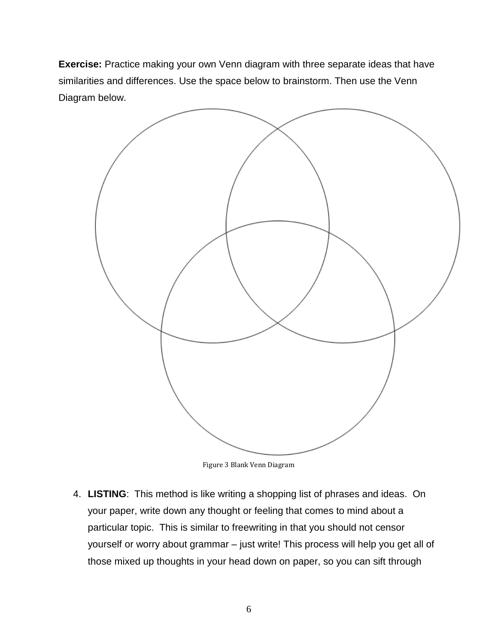**Exercise:** Practice making your own Venn diagram with three separate ideas that have similarities and differences. Use the space below to brainstorm. Then use the Venn Diagram below.



Figure 3 Blank Venn Diagram

4. **LISTING**: This method is like writing a shopping list of phrases and ideas. On your paper, write down any thought or feeling that comes to mind about a particular topic. This is similar to freewriting in that you should not censor yourself or worry about grammar – just write! This process will help you get all of those mixed up thoughts in your head down on paper, so you can sift through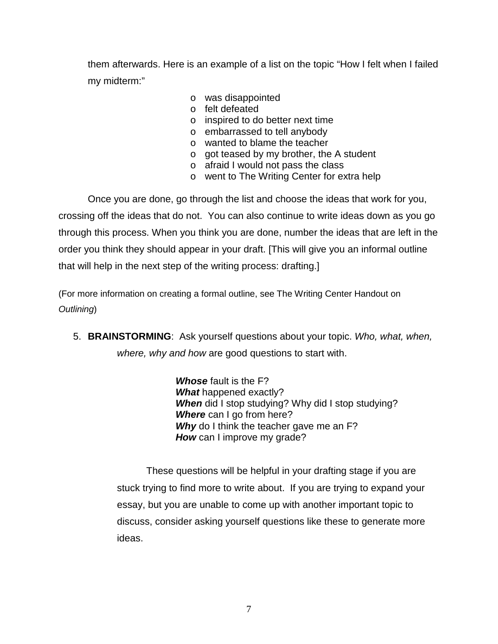them afterwards. Here is an example of a list on the topic "How I felt when I failed my midterm:"

- o was disappointed
- o felt defeated
- o inspired to do better next time
- o embarrassed to tell anybody
- o wanted to blame the teacher
- o got teased by my brother, the A student
- o afraid I would not pass the class
- o went to The Writing Center for extra help

Once you are done, go through the list and choose the ideas that work for you, crossing off the ideas that do not. You can also continue to write ideas down as you go through this process. When you think you are done, number the ideas that are left in the order you think they should appear in your draft. [This will give you an informal outline that will help in the next step of the writing process: drafting.]

(For more information on creating a formal outline, see The Writing Center Handout on *Outlining*)

5. **BRAINSTORMING**: Ask yourself questions about your topic. *Who, what, when, where, why and how* are good questions to start with.

> *Whose* fault is the F? *What* happened exactly? *When* did I stop studying? Why did I stop studying? *Where* can I go from here? **Why** do I think the teacher gave me an F? *How* can I improve my grade?

These questions will be helpful in your drafting stage if you are stuck trying to find more to write about. If you are trying to expand your essay, but you are unable to come up with another important topic to discuss, consider asking yourself questions like these to generate more ideas.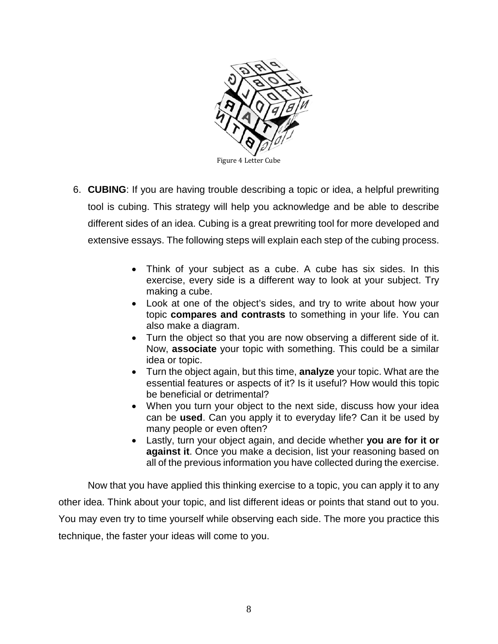

- 6. **CUBING**: If you are having trouble describing a topic or idea, a helpful prewriting tool is cubing. This strategy will help you acknowledge and be able to describe different sides of an idea. Cubing is a great prewriting tool for more developed and extensive essays. The following steps will explain each step of the cubing process.
	- Think of your subject as a cube. A cube has six sides. In this exercise, every side is a different way to look at your subject. Try making a cube.
	- Look at one of the object's sides, and try to write about how your topic **compares and contrasts** to something in your life. You can also make a diagram.
	- Turn the object so that you are now observing a different side of it. Now, **associate** your topic with something. This could be a similar idea or topic.
	- Turn the object again, but this time, **analyze** your topic. What are the essential features or aspects of it? Is it useful? How would this topic be beneficial or detrimental?
	- When you turn your object to the next side, discuss how your idea can be **used**. Can you apply it to everyday life? Can it be used by many people or even often?
	- Lastly, turn your object again, and decide whether **you are for it or against it**. Once you make a decision, list your reasoning based on all of the previous information you have collected during the exercise.

Now that you have applied this thinking exercise to a topic, you can apply it to any other idea. Think about your topic, and list different ideas or points that stand out to you. You may even try to time yourself while observing each side. The more you practice this technique, the faster your ideas will come to you.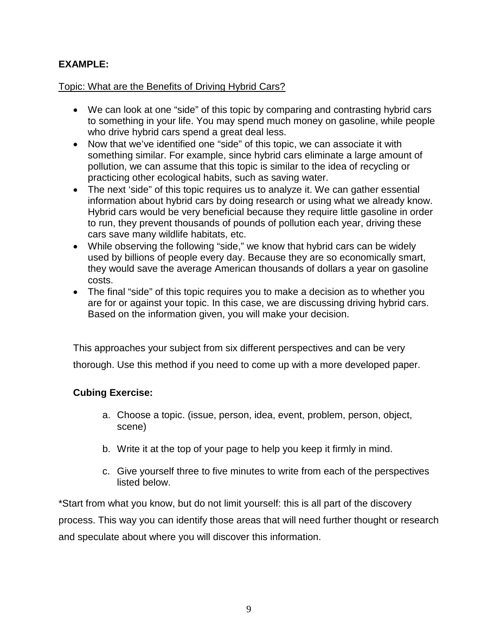## **EXAMPLE:**

### Topic: What are the Benefits of Driving Hybrid Cars?

- We can look at one "side" of this topic by comparing and contrasting hybrid cars to something in your life. You may spend much money on gasoline, while people who drive hybrid cars spend a great deal less.
- Now that we've identified one "side" of this topic, we can associate it with something similar. For example, since hybrid cars eliminate a large amount of pollution, we can assume that this topic is similar to the idea of recycling or practicing other ecological habits, such as saving water.
- The next 'side" of this topic requires us to analyze it. We can gather essential information about hybrid cars by doing research or using what we already know. Hybrid cars would be very beneficial because they require little gasoline in order to run, they prevent thousands of pounds of pollution each year, driving these cars save many wildlife habitats, etc.
- While observing the following "side," we know that hybrid cars can be widely used by billions of people every day. Because they are so economically smart, they would save the average American thousands of dollars a year on gasoline costs.
- The final "side" of this topic requires you to make a decision as to whether you are for or against your topic. In this case, we are discussing driving hybrid cars. Based on the information given, you will make your decision.

This approaches your subject from six different perspectives and can be very thorough. Use this method if you need to come up with a more developed paper.

### **Cubing Exercise:**

- a. Choose a topic. (issue, person, idea, event, problem, person, object, scene)
- b. Write it at the top of your page to help you keep it firmly in mind.
- c. Give yourself three to five minutes to write from each of the perspectives listed below.

\*Start from what you know, but do not limit yourself: this is all part of the discovery process. This way you can identify those areas that will need further thought or research and speculate about where you will discover this information.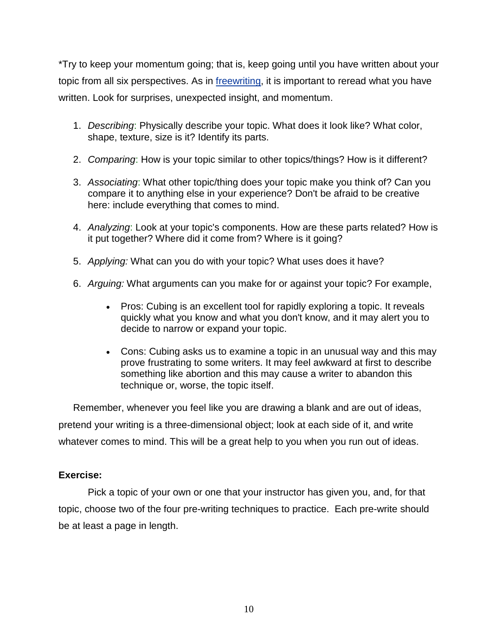\*Try to keep your momentum going; that is, keep going until you have written about your topic from all six perspectives. As in [freewriting,](http://users.humboldt.edu/tduckart/Freewriting.htm) it is important to reread what you have written. Look for surprises, unexpected insight, and momentum.

- 1. *Describing*: Physically describe your topic. What does it look like? What color, shape, texture, size is it? Identify its parts.
- 2. *Comparing*: How is your topic similar to other topics/things? How is it different?
- 3. *Associating*: What other topic/thing does your topic make you think of? Can you compare it to anything else in your experience? Don't be afraid to be creative here: include everything that comes to mind.
- 4. *Analyzing*: Look at your topic's components. How are these parts related? How is it put together? Where did it come from? Where is it going?
- 5. *Applying:* What can you do with your topic? What uses does it have?
- 6. *Arguing:* What arguments can you make for or against your topic? For example,
	- Pros: Cubing is an excellent tool for rapidly exploring a topic. It reveals quickly what you know and what you don't know, and it may alert you to decide to narrow or expand your topic.
	- Cons: Cubing asks us to examine a topic in an unusual way and this may prove frustrating to some writers. It may feel awkward at first to describe something like abortion and this may cause a writer to abandon this technique or, worse, the topic itself.

Remember, whenever you feel like you are drawing a blank and are out of ideas, pretend your writing is a three-dimensional object; look at each side of it, and write whatever comes to mind. This will be a great help to you when you run out of ideas.

### **Exercise:**

Pick a topic of your own or one that your instructor has given you, and, for that topic, choose two of the four pre-writing techniques to practice. Each pre-write should be at least a page in length.